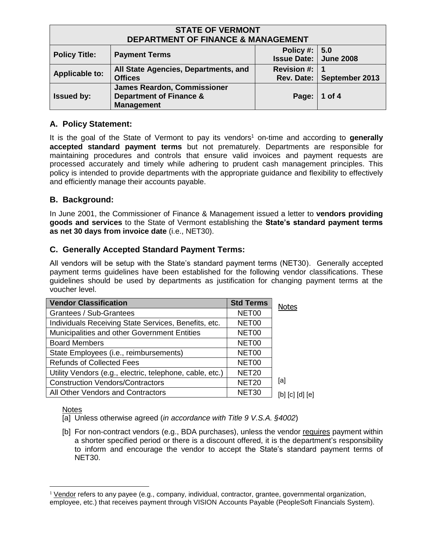| <b>STATE OF VERMONT</b><br><b>DEPARTMENT OF FINANCE &amp; MANAGEMENT</b> |                                                                                               |                                                   |                             |
|--------------------------------------------------------------------------|-----------------------------------------------------------------------------------------------|---------------------------------------------------|-----------------------------|
| <b>Policy Title:</b>                                                     | <b>Payment Terms</b>                                                                          | Policy #: $  5.0$<br><b>Issue Date: June 2008</b> |                             |
| <b>Applicable to:</b>                                                    | All State Agencies, Departments, and<br><b>Offices</b>                                        | Revision #: $\vert$ 1                             | Rev. Date:   September 2013 |
| <b>Issued by:</b>                                                        | <b>James Reardon, Commissioner</b><br><b>Department of Finance &amp;</b><br><b>Management</b> | Page:   1 of 4                                    |                             |

# **A. Policy Statement:**

It is the goal of the State of Vermont to pay its vendors<sup>1</sup> on-time and according to generally **accepted standard payment terms** but not prematurely. Departments are responsible for maintaining procedures and controls that ensure valid invoices and payment requests are processed accurately and timely while adhering to prudent cash management principles. This policy is intended to provide departments with the appropriate guidance and flexibility to effectively and efficiently manage their accounts payable.

# **B. Background:**

In June 2001, the Commissioner of Finance & Management issued a letter to **vendors providing goods and services** to the State of Vermont establishing the **State's standard payment terms as net 30 days from invoice date** (i.e., NET30).

# **C. Generally Accepted Standard Payment Terms:**

All vendors will be setup with the State's standard payment terms (NET30). Generally accepted payment terms guidelines have been established for the following vendor classifications. These guidelines should be used by departments as justification for changing payment terms at the voucher level.

| <b>Vendor Classification</b>                             | <b>Std Terms</b>  | <b>Notes</b>    |
|----------------------------------------------------------|-------------------|-----------------|
| Grantees / Sub-Grantees                                  | NET00             |                 |
| Individuals Receiving State Services, Benefits, etc.     | NET00             |                 |
| Municipalities and other Government Entities             | NET00             |                 |
| <b>Board Members</b>                                     | NET00             |                 |
| State Employees (i.e., reimbursements)                   | NET00             |                 |
| <b>Refunds of Collected Fees</b>                         | NET00             |                 |
| Utility Vendors (e.g., electric, telephone, cable, etc.) | NET <sub>20</sub> |                 |
| <b>Construction Vendors/Contractors</b>                  | <b>NET20</b>      | [a]             |
| All Other Vendors and Contractors                        | NET30             | [b] [c] [d] [e] |

## **Notes**

 $\overline{a}$ 

[a] Unless otherwise agreed (*in accordance with Title 9 V.S.A. §4002*)

[b] For non-contract vendors (e.g., BDA purchases), unless the vendor requires payment within a shorter specified period or there is a discount offered, it is the department's responsibility to inform and encourage the vendor to accept the State's standard payment terms of NET30.

<sup>&</sup>lt;sup>1</sup> Vendor refers to any payee (e.g., company, individual, contractor, grantee, governmental organization, employee, etc.) that receives payment through VISION Accounts Payable (PeopleSoft Financials System).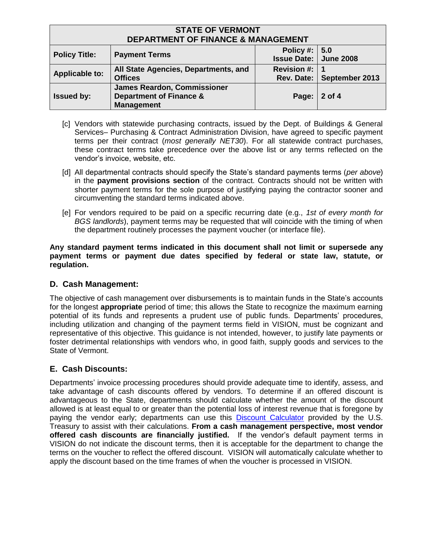| <b>STATE OF VERMONT</b><br><b>DEPARTMENT OF FINANCE &amp; MANAGEMENT</b> |                                                                                               |                                                   |                             |
|--------------------------------------------------------------------------|-----------------------------------------------------------------------------------------------|---------------------------------------------------|-----------------------------|
| <b>Policy Title:</b>                                                     | <b>Payment Terms</b>                                                                          | Policy #: $  5.0$<br><b>Issue Date: June 2008</b> |                             |
| <b>Applicable to:</b>                                                    | All State Agencies, Departments, and<br><b>Offices</b>                                        | Revision #:                                       | Rev. Date:   September 2013 |
| <b>Issued by:</b>                                                        | <b>James Reardon, Commissioner</b><br><b>Department of Finance &amp;</b><br><b>Management</b> | Page: 2 of 4                                      |                             |

- [c] Vendors with statewide purchasing contracts, issued by the Dept. of Buildings & General Services– Purchasing & Contract Administration Division, have agreed to specific payment terms per their contract (*most generally NET30*). For all statewide contract purchases, these contract terms take precedence over the above list or any terms reflected on the vendor's invoice, website, etc.
- [d] All departmental contracts should specify the State's standard payments terms (*per above*) in the **payment provisions section** of the contract. Contracts should not be written with shorter payment terms for the sole purpose of justifying paying the contractor sooner and circumventing the standard terms indicated above.
- [e] For vendors required to be paid on a specific recurring date (e.g., *1st of every month for BGS landlords*), payment terms may be requested that will coincide with the timing of when the department routinely processes the payment voucher (or interface file).

**Any standard payment terms indicated in this document shall not limit or supersede any payment terms or payment due dates specified by federal or state law, statute, or regulation.**

## **D. Cash Management:**

The objective of cash management over disbursements is to maintain funds in the State's accounts for the longest **appropriate** period of time; this allows the State to recognize the maximum earning potential of its funds and represents a prudent use of public funds. Departments' procedures, including utilization and changing of the payment terms field in VISION, must be cognizant and representative of this objective. This guidance is not intended, however, to justify late payments or foster detrimental relationships with vendors who, in good faith, supply goods and services to the State of Vermont.

## **E. Cash Discounts:**

Departments' invoice processing procedures should provide adequate time to identify, assess, and take advantage of cash discounts offered by vendors. To determine if an offered discount is advantageous to the State, departments should calculate whether the amount of the discount allowed is at least equal to or greater than the potential loss of interest revenue that is foregone by paying the vendor early; departments can use this [Discount Calculator](http://fms.treas.gov/prompt/discount.html) provided by the U.S. Treasury to assist with their calculations. **From a cash management perspective, most vendor offered cash discounts are financially justified.** If the vendor's default payment terms in VISION do not indicate the discount terms, then it is acceptable for the department to change the terms on the voucher to reflect the offered discount. VISION will automatically calculate whether to apply the discount based on the time frames of when the voucher is processed in VISION.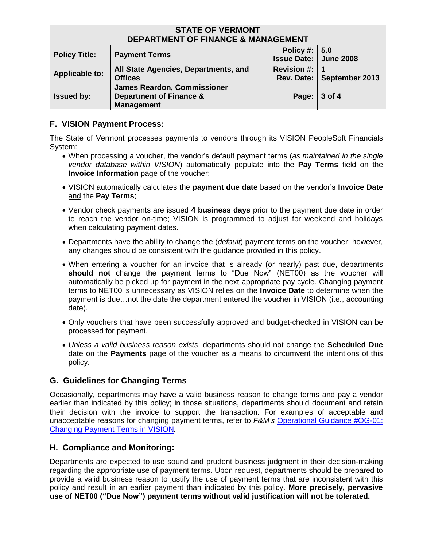| <b>STATE OF VERMONT</b><br><b>DEPARTMENT OF FINANCE &amp; MANAGEMENT</b> |                                                                                               |                                                   |                             |
|--------------------------------------------------------------------------|-----------------------------------------------------------------------------------------------|---------------------------------------------------|-----------------------------|
| <b>Policy Title:</b>                                                     | <b>Payment Terms</b>                                                                          | Policy #: $  5.0$<br><b>Issue Date: June 2008</b> |                             |
| <b>Applicable to:</b>                                                    | All State Agencies, Departments, and<br><b>Offices</b>                                        | Revision #: $\vert$ 1                             | Rev. Date:   September 2013 |
| <b>Issued by:</b>                                                        | <b>James Reardon, Commissioner</b><br><b>Department of Finance &amp;</b><br><b>Management</b> | Page:                                             | $3$ of 4                    |

## **F. VISION Payment Process:**

The State of Vermont processes payments to vendors through its VISION PeopleSoft Financials System:

- When processing a voucher, the vendor's default payment terms (*as maintained in the single vendor database within VISION*) automatically populate into the **Pay Terms** field on the **Invoice Information** page of the voucher;
- VISION automatically calculates the **payment due date** based on the vendor's **Invoice Date** and the **Pay Terms**;
- Vendor check payments are issued **4 business days** prior to the payment due date in order to reach the vendor on-time; VISION is programmed to adjust for weekend and holidays when calculating payment dates.
- Departments have the ability to change the (*default*) payment terms on the voucher; however, any changes should be consistent with the guidance provided in this policy.
- When entering a voucher for an invoice that is already (or nearly) past due, departments **should not** change the payment terms to "Due Now" (NET00) as the voucher will automatically be picked up for payment in the next appropriate pay cycle. Changing payment terms to NET00 is unnecessary as VISION relies on the **Invoice Date** to determine when the payment is due…not the date the department entered the voucher in VISION (i.e., accounting date).
- Only vouchers that have been successfully approved and budget-checked in VISION can be processed for payment.
- *Unless a valid business reason exists*, departments should not change the **Scheduled Due** date on the **Payments** page of the voucher as a means to circumvent the intentions of this policy.

## **G. Guidelines for Changing Terms**

Occasionally, departments may have a valid business reason to change terms and pay a vendor earlier than indicated by this policy; in those situations, departments should document and retain their decision with the invoice to support the transaction. For examples of acceptable and unacceptable reasons for changing payment terms, refer to *F&M's* [Operational](http://finance.vermont.gov/training-and-support/vision-job-aids-and-operational-guidance) Guidance #OG-01: [Changing Payment Terms](http://finance.vermont.gov/training-and-support/vision-job-aids-and-operational-guidance) in VISION*.*

## **H. Compliance and Monitoring:**

Departments are expected to use sound and prudent business judgment in their decision-making regarding the appropriate use of payment terms. Upon request, departments should be prepared to provide a valid business reason to justify the use of payment terms that are inconsistent with this policy and result in an earlier payment than indicated by this policy. **More precisely, pervasive use of NET00 ("Due Now") payment terms without valid justification will not be tolerated.**